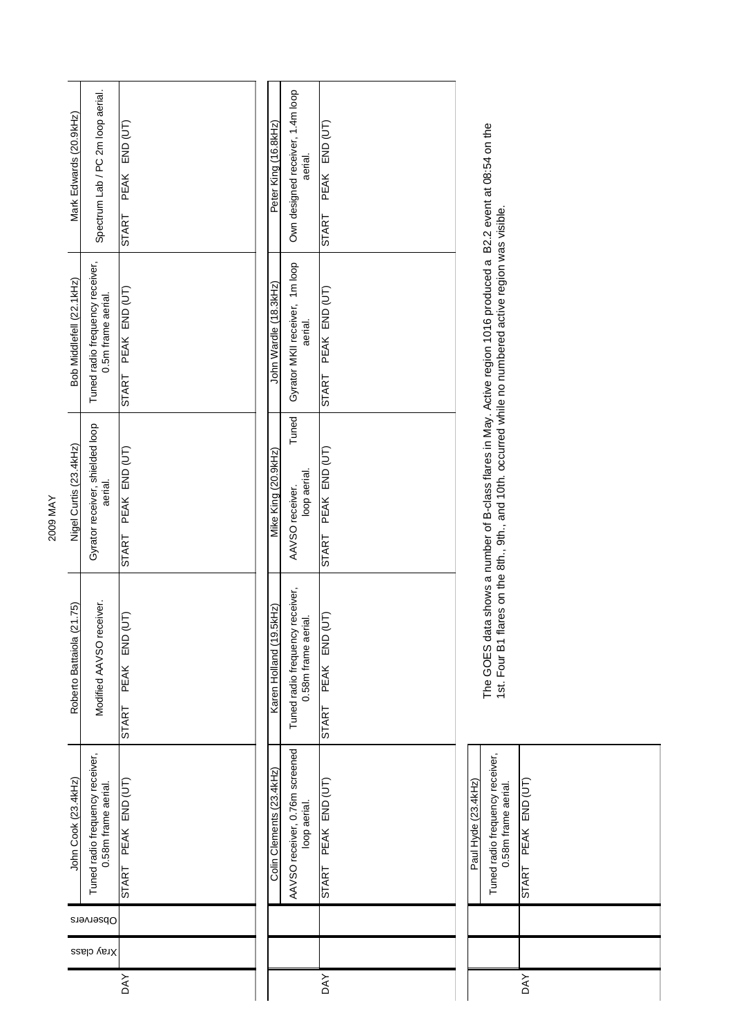| Spectrum Lab / PC 2m loop aerial.<br>Mark Edwards (20.9kHz) |                     | PEAK END (UT)<br>START |  | Peter King (16.8kHz)     | Own designed receiver, 1.4m loop<br>aerial.            | PEAK END (UT)<br>START    |
|-------------------------------------------------------------|---------------------|------------------------|--|--------------------------|--------------------------------------------------------|---------------------------|
| Tuned radio frequency receiver,<br>Bob Middlefell (22.1kHz) | 0.5m frame aerial.  | START PEAK END (UT)    |  | John Wardle (18.3kHz)    | Gyrator MKII receiver, 1m loop<br>aerial.              | START PEAK END (UT)       |
| Gyrator receiver, shielded loop<br>Nigel Curtis (23.4kHz)   | aerial.             | START PEAK END (UT)    |  | Mike King (20.9kHz)      | Tuned<br>loop aerial.<br>AAVSO receiver.               | START PEAK END (UT)       |
| Modified AAVSO receiver.<br>(21.75)<br>Roberto Battaiola    |                     | (JT)<br>START PEAK END |  | Karen Holland (19.5kHz)  | Tuned radio frequency receiver,<br>0.58m frame aerial. | (JT)<br>PEAK END<br>START |
| Tuned radio frequency receiver,<br>John Cook (23.4kHz)      | 0.58m frame aerial. | START PEAK END (UT)    |  | Colin Clements (23.4kHz) | AAVSO receiver, 0.76m screened<br>loop aerial.         | START PEAK END (UT)       |
| Observers                                                   |                     |                        |  |                          |                                                        |                           |
| Xray class                                                  |                     |                        |  |                          |                                                        |                           |
|                                                             |                     | <b>DAY</b>             |  |                          |                                                        | <b>DAY</b>                |

| Paul Hyde (23.4kHz) | Tuned radio frequency receiver,<br>0.58m frame aerial. | PEAK END (UT)<br>START |  |
|---------------------|--------------------------------------------------------|------------------------|--|
|                     |                                                        |                        |  |
|                     |                                                        |                        |  |
|                     |                                                        | <b>DAY</b>             |  |

The GOES data shows a number of B-class flares in May. Active region 1016 produced a B2.2 event at 08:54 on the<br>1st. Four B1 flares on the 8th., 9th., and 10th. occurred while no numbered active region was visible. The GOES data shows a number of B-class flares in May. Active region 1016 produced a B2.2 event at 08:54 on the 1st. Four B1 flares on the 8th., 9th., and 10th. occurred while no numbered active region was visible.

2009 MAY